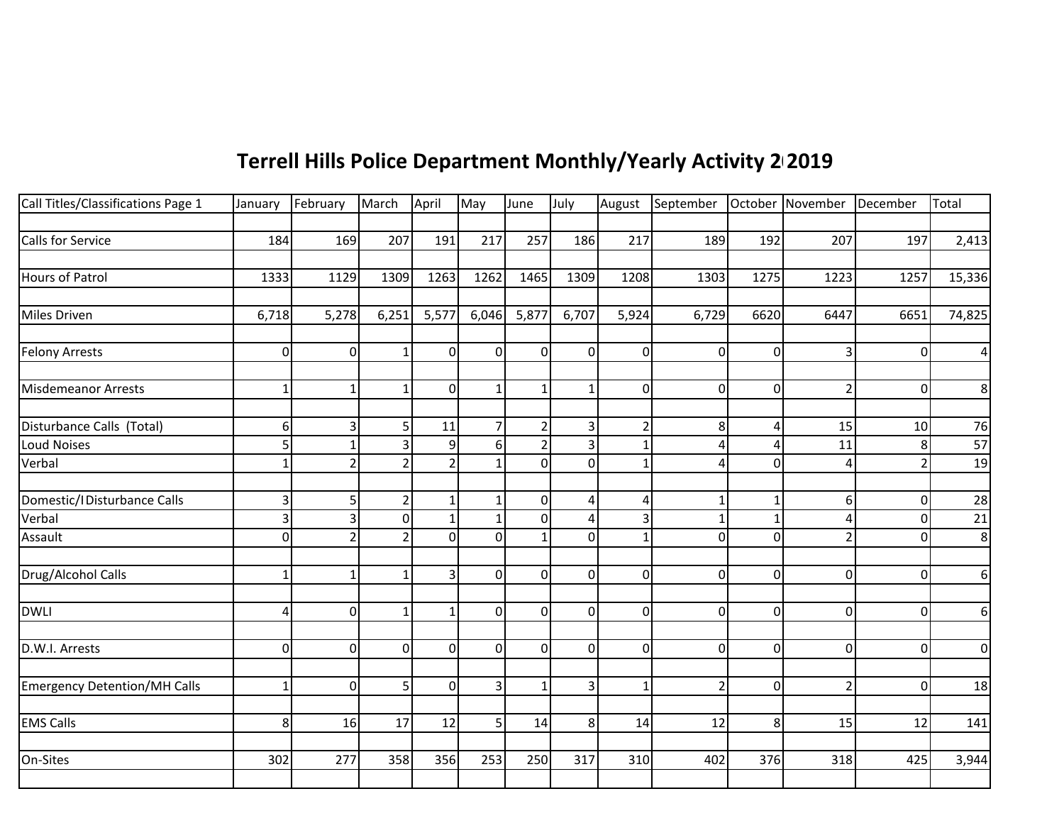## **Terrell Hills Police Department Monthly/Yearly Activity 2015 2019**

| Call Titles/Classifications Page 1<br>February<br>March<br>April<br>May<br>July<br>January<br>June                       |                                  |                |                | August September October November December |             | Total           |
|--------------------------------------------------------------------------------------------------------------------------|----------------------------------|----------------|----------------|--------------------------------------------|-------------|-----------------|
|                                                                                                                          |                                  |                |                |                                            |             |                 |
| Calls for Service<br>217<br>169<br>207<br>257<br>184<br>191                                                              | 217<br>186                       | 189            | 192            | 207                                        | 197         | 2,413           |
|                                                                                                                          |                                  |                |                |                                            |             |                 |
| Hours of Patrol<br>1333<br>1129<br>1309<br>1263<br>1262<br>1465                                                          | 1309<br>1208                     | 1303           | 1275           | 1223                                       | 1257        | 15,336          |
|                                                                                                                          |                                  |                |                |                                            |             |                 |
| Miles Driven<br>6,718<br>5,278<br>6,251<br>5,577<br>6,046<br>5,877                                                       | 6,707<br>5,924                   | 6,729          | 6620           | 6447                                       | 6651        | 74,825          |
|                                                                                                                          |                                  |                |                |                                            |             |                 |
| $\overline{0}$<br><b>Felony Arrests</b><br>$\overline{0}$<br>$\Omega$<br>$\overline{0}$<br>0<br>$\mathbf{1}$             | οI<br>0                          | $\overline{0}$ | $\overline{0}$ | 3                                          | $\mathbf 0$ |                 |
|                                                                                                                          |                                  |                |                |                                            |             |                 |
| <b>Misdemeanor Arrests</b><br>$\overline{0}$<br>$1\vert$<br>$\mathbf{1}$<br>$\mathbf{1}$<br>$\mathbf{1}$<br>$\mathbf{1}$ | 0<br>$\mathbf{1}$                | $\Omega$       | $\overline{0}$ | $\overline{2}$                             | $\mathbf 0$ | 8               |
|                                                                                                                          |                                  |                |                |                                            |             |                 |
| 6 <sup>1</sup><br>$\overline{7}$<br>$\overline{2}$<br>Disturbance Calls (Total)<br>3<br>5<br>11                          | $\overline{2}$<br>$\overline{3}$ | 8              | 4              | 15                                         | 10          | 76              |
| $\overline{5}$<br><b>Loud Noises</b><br>9<br>$\overline{2}$<br>3<br>6                                                    | $\overline{3}$<br>1              |                | 4              | 11                                         | 8           | 57              |
| Verbal<br>$\overline{2}$<br>$\overline{0}$<br>2<br>2<br>$\mathbf{1}$<br>$1\vert$                                         | $\Omega$<br>1                    | 4              | $\overline{0}$ | $\overline{a}$                             |             | 19              |
|                                                                                                                          |                                  |                |                |                                            |             |                 |
| Domestic/IDisturbance Calls<br>$\vert$<br>$\overline{2}$<br>$\overline{0}$<br>5<br>$\mathbf{1}$<br>1                     | 4<br>4                           |                | $1\vert$       | 6                                          | 0           | 28              |
| $\vert$ 3<br>$\overline{0}$<br>Verbal<br>3<br>0<br>$\mathbf{1}$<br>$\mathbf{1}$                                          | ς<br>$\Delta$                    |                | $\mathbf{1}$   |                                            | 0           | $\overline{21}$ |
| $\overline{0}$<br>$\Omega$<br>$\mathbf{1}$<br>$\overline{2}$<br>$\overline{2}$<br>$\overline{0}$<br>Assault              | $\Omega$<br>1                    | $\Omega$       | $\overline{0}$ | $\overline{2}$                             | $\Omega$    | 8               |
|                                                                                                                          |                                  |                |                |                                            |             |                 |
| Drug/Alcohol Calls<br>$\Omega$<br>$\mathsf{o}$<br>$\mathbf{1}$<br>3<br>$\mathbf{1}$<br>$\mathbf{1}$                      | $\Omega$<br>0                    | $\Omega$       | $\overline{0}$ | $\Omega$                                   | $\mathbf 0$ | 6               |
|                                                                                                                          |                                  |                |                |                                            |             |                 |
| <b>DWLI</b><br>$\Omega$<br>$\Omega$<br>$\Omega$<br>$\overline{4}$<br>1<br>1                                              | $\Omega$<br>0                    | $\Omega$       | $\Omega$       | $\Omega$                                   | $\Omega$    | 6               |
|                                                                                                                          |                                  |                |                |                                            |             |                 |
| $\overline{0}$<br>$\overline{0}$<br>$\overline{0}$<br>$\Omega$<br>$\overline{0}$<br>D.W.I. Arrests<br>$\overline{0}$     | οI<br>0                          | $\overline{0}$ | $\overline{0}$ | $\mathbf 0$                                | $\mathbf 0$ | 0               |
|                                                                                                                          |                                  |                |                |                                            |             |                 |
| <b>Emergency Detention/MH Calls</b><br>5<br>$\overline{0}$<br>3<br>$\mathbf{1}$<br>$\overline{0}$<br>$\mathbf{1}$        | 3 <br>$\mathbf{1}$               | $\overline{2}$ | $\overline{0}$ | $\overline{2}$                             | $\mathbf 0$ | 18              |
|                                                                                                                          |                                  |                |                |                                            |             |                 |
| <b>EMS Calls</b><br>8 <sup>1</sup><br>12<br>5<br>16<br>17<br>14                                                          | 8 <sup>1</sup><br>14             | 12             | 8 <sup>1</sup> | 15                                         | 12          | 141             |
|                                                                                                                          |                                  |                |                |                                            |             |                 |
| On-Sites<br>277<br>358<br>356<br>253<br>250<br>302                                                                       | 310<br>317                       | 402            | 376            | 318                                        | 425         | 3,944           |
|                                                                                                                          |                                  |                |                |                                            |             |                 |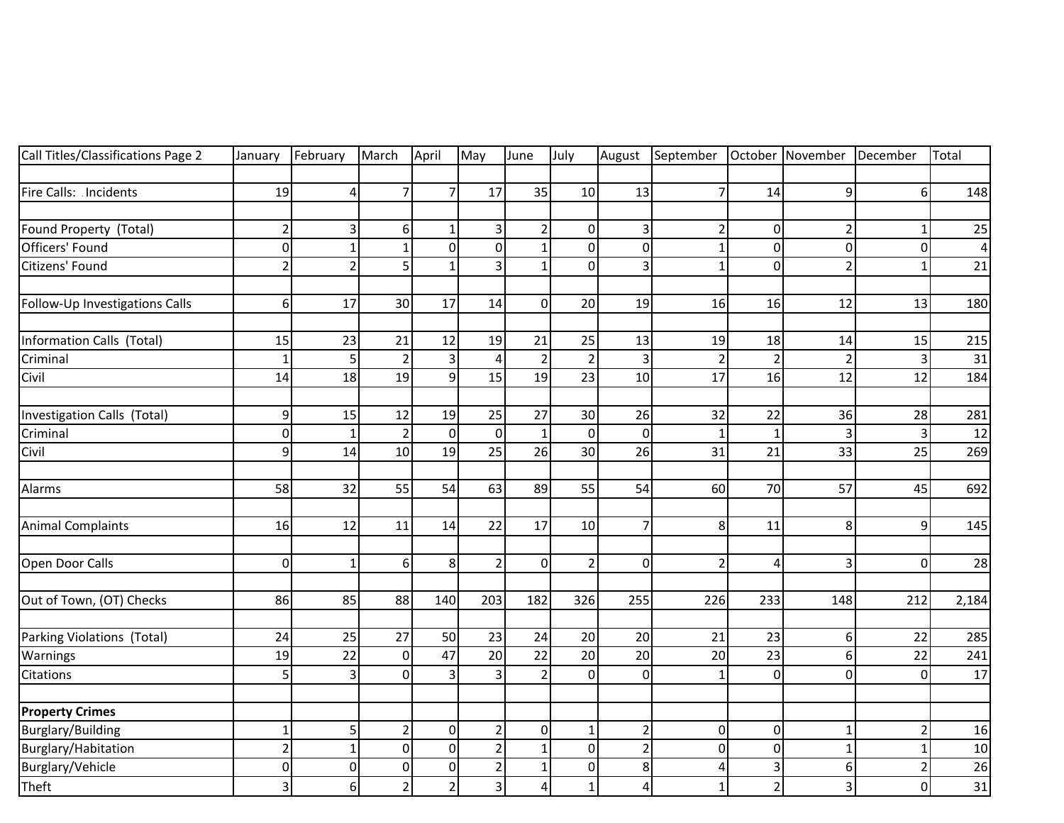| Call Titles/Classifications Page 2 | January                 | February       | March          | April                   | May            | June                     | July           | August                  | September      |                | October November December |                | Total           |
|------------------------------------|-------------------------|----------------|----------------|-------------------------|----------------|--------------------------|----------------|-------------------------|----------------|----------------|---------------------------|----------------|-----------------|
|                                    |                         |                |                |                         |                |                          |                |                         |                |                |                           |                |                 |
| Fire Calls: Incidents              | 19                      | 4              | $\overline{7}$ | 7 <sup>1</sup>          | 17             | 35                       | 10             | 13                      | $\overline{7}$ | 14             | 9                         | 6              | 148             |
| Found Property (Total)             | $\overline{2}$          | 3              | 6              | $\mathbf{1}$            | 3              | $\overline{c}$           | $\mathbf 0$    | 3                       | 2              | $\pmb{0}$      | $\overline{2}$            | $\mathbf{1}$   | 25              |
| Officers' Found                    | $\overline{0}$          | $\mathbf{1}$   | $\mathbf{1}$   | $\overline{0}$          | $\mathbf 0$    | $\mathbf{1}$             | 0              | $\overline{0}$          |                | $\mathbf 0$    | 0                         | $\pmb{0}$      | 4               |
| Citizens' Found                    | $\mathbf 2$             | $\overline{2}$ | 5              | $\mathbf{1}$            | 3              | 1                        | $\mathbf 0$    | $\overline{\mathbf{3}}$ |                | $\mathbf 0$    | $\overline{2}$            | $\mathbf{1}$   | 21              |
| Follow-Up Investigations Calls     | 6                       | 17             | 30             | 17                      | 14             | $\mathbf 0$              | 20             | 19                      | 16             | 16             | 12                        | 13             | 180             |
| Information Calls (Total)          | 15                      | 23             | 21             | 12                      | 19             | 21                       | 25             | 13                      | 19             | 18             | 14                        | 15             | 215             |
| Criminal                           | $\mathbf{1}$            | 5              | $\overline{2}$ | $\overline{\mathbf{3}}$ | $\overline{a}$ | $\overline{2}$           | $\overline{2}$ | $\overline{\mathbf{3}}$ | $\mathcal{P}$  | $\overline{2}$ | $\overline{\phantom{a}}$  | 3              | 31              |
| Civil                              | 14                      | 18             | 19             | 9 <sub>l</sub>          | 15             | 19                       | 23             | 10                      | 17             | 16             | 12                        | 12             | 184             |
| Investigation Calls (Total)        | $\overline{9}$          | 15             | 12             | 19                      | 25             | 27                       | 30             | 26                      | 32             | 22             | 36                        | 28             | 281             |
| Criminal                           | $\overline{0}$          | $\mathbf{1}$   | $\overline{2}$ | $\overline{0}$          | $\mathbf 0$    | $\mathbf{1}$             | 0              | $\mathbf 0$             |                | $\mathbf{1}$   | 3                         | $\overline{3}$ | 12              |
| Civil                              | $\overline{9}$          | 14             | 10             | 19                      | 25             | 26                       | 30             | 26                      | 31             | 21             | 33                        | 25             | 269             |
| Alarms                             | 58                      | 32             | 55             | 54                      | 63             | 89                       | 55             | 54                      | 60             | 70             | 57                        | 45             | 692             |
| <b>Animal Complaints</b>           | 16                      | 12             | 11             | 14                      | 22             | 17                       | 10             | $\overline{7}$          | 8              | 11             | 8                         | 9              | 145             |
| Open Door Calls                    | $\overline{0}$          | $\mathbf{1}$   | 6              | 8 <sup>1</sup>          | $\overline{2}$ | $\pmb{0}$                | $\overline{2}$ | $\overline{0}$          | $\overline{2}$ | 4              | $\overline{3}$            | $\overline{0}$ | 28              |
| Out of Town, (OT) Checks           | 86                      | 85             | 88             | 140                     | 203            | 182                      | 326            | 255                     | 226            | 233            | 148                       | 212            | 2,184           |
| Parking Violations (Total)         | 24                      | 25             | 27             | 50                      | 23             | 24                       | 20             | 20                      | 21             | 23             | 6                         | 22             | 285             |
| Warnings                           | 19                      | 22             | $\mathbf 0$    | 47                      | 20             | 22                       | 20             | 20                      | 20             | 23             | 6                         | 22             | 241             |
| Citations                          | $\mathsf{S}$            | 3              | $\overline{0}$ | 3                       | 3              | $\overline{\phantom{a}}$ | $\Omega$       | $\overline{0}$          |                | $\mathbf 0$    | $\mathbf 0$               | $\mathbf 0$    | 17              |
| <b>Property Crimes</b>             |                         |                |                |                         |                |                          |                |                         |                |                |                           |                |                 |
| <b>Burglary/Building</b>           | $\mathbf{1}$            | 5              | $\overline{2}$ | $\overline{0}$          | $\overline{2}$ | $\pmb{0}$                | $\mathbf{1}$   | $\overline{c}$          | $\mathbf 0$    | $\pmb{0}$      | -1                        | $\overline{2}$ | 16              |
| Burglary/Habitation                | $\overline{2}$          | $\mathbf{1}$   | $\mathbf 0$    | $\overline{0}$          | $\overline{2}$ | $\mathbf{1}$             | $\mathbf 0$    | $\overline{2}$          | 0              | $\mathbf 0$    | -1                        | $\mathbf{1}$   | 10              |
| Burglary/Vehicle                   | $\overline{0}$          | $\mathbf 0$    | $\mathbf 0$    | $\overline{0}$          | $\overline{2}$ | $\overline{1}$           | 0              | 8                       | 4              | 3              | 6                         | $\overline{2}$ | $\overline{26}$ |
| Theft                              | $\overline{\mathbf{3}}$ | 6              | $\overline{2}$ | $\overline{2}$          | 3              | 4                        | $\mathbf{1}$   | 4                       | $\mathbf{1}$   | $\overline{2}$ | 3                         | $\mathbf 0$    | 31              |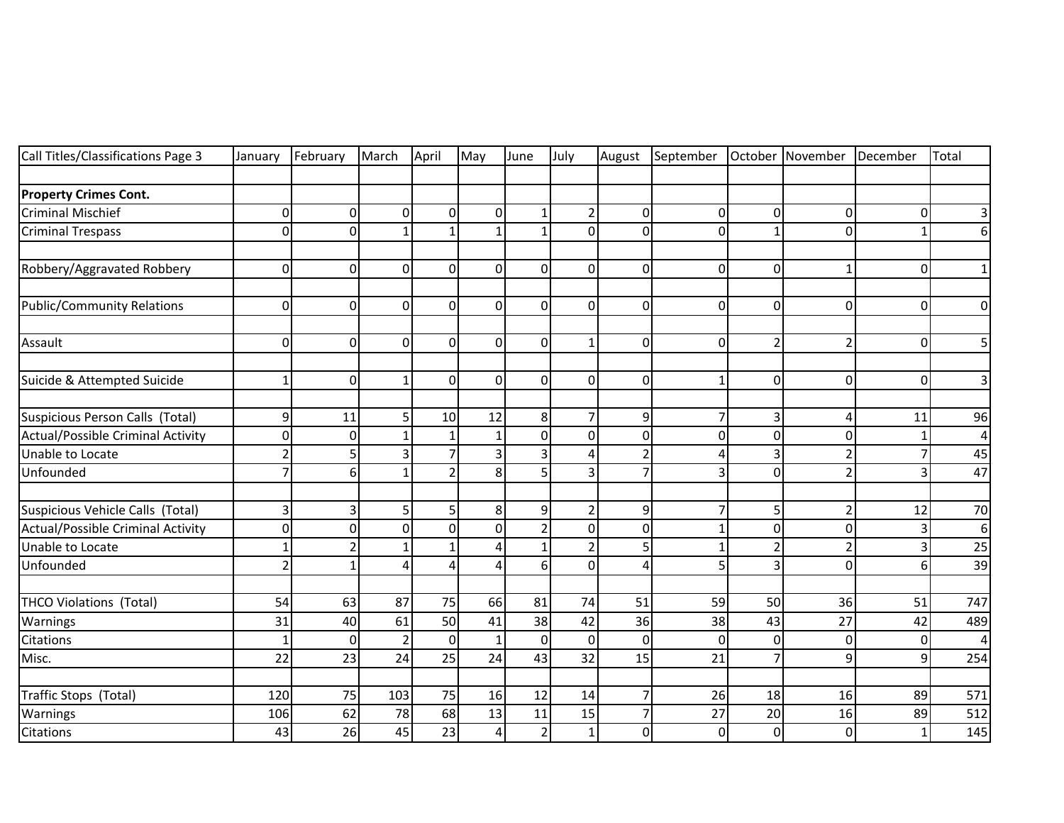| Call Titles/Classifications Page 3 | January          | February       | March                  | April          | May            | June           | July           | August         | September October |                | November       | December                | Total          |
|------------------------------------|------------------|----------------|------------------------|----------------|----------------|----------------|----------------|----------------|-------------------|----------------|----------------|-------------------------|----------------|
|                                    |                  |                |                        |                |                |                |                |                |                   |                |                |                         |                |
| <b>Property Crimes Cont.</b>       |                  |                |                        |                |                |                |                |                |                   |                |                |                         |                |
| <b>Criminal Mischief</b>           | $\mathbf 0$      | $\mathbf 0$    | 0                      | $\Omega$       | $\overline{0}$ | $\mathbf{1}$   | $\overline{2}$ | $\mathbf 0$    | $\Omega$          | 0              | $\Omega$       | 0                       | 3              |
| <b>Criminal Trespass</b>           | $\mathbf 0$      | $\mathbf 0$    | $\mathbf{1}$           | $\mathbf{1}$   | 1              | 1              | 0              | 0              | $\Omega$          | $\mathbf{1}$   | $\Omega$       | $\mathbf{1}$            | 6              |
| Robbery/Aggravated Robbery         | $\mathbf 0$      | $\mathbf 0$    | $\Omega$               | $\overline{0}$ | $\Omega$       | $\mathbf 0$    | $\Omega$       | $\overline{0}$ | $\Omega$          | $\mathbf 0$    | $\mathbf 1$    | 0                       | $\mathbf{1}$   |
| <b>Public/Community Relations</b>  | $\mathbf 0$      | $\mathbf 0$    | 0                      | $\Omega$       | $\overline{0}$ | $\overline{0}$ | $\overline{0}$ | 0              | $\overline{0}$    | 0              | $\overline{0}$ | 0                       | $\overline{0}$ |
| Assault                            | $\Omega$         | $\Omega$       | $\Omega$               | $\Omega$       | ΩI             | $\Omega$       | $\mathbf{1}$   | 0              | $\Omega$          | $\overline{2}$ | $\mathcal{P}$  | $\Omega$                | 5              |
| Suicide & Attempted Suicide        | $\mathbf{1}$     | $\mathbf 0$    |                        | $\Omega$       | $\Omega$       | $\overline{0}$ | $\overline{0}$ | $\Omega$       |                   | 0              | $\Omega$       | 0                       | 3              |
| Suspicious Person Calls (Total)    | $\boldsymbol{9}$ | 11             | 5                      | 10             | 12             | 8              | 7              | 9              | 7                 | 3              | Δ              | 11                      | 96             |
| Actual/Possible Criminal Activity  | $\pmb{0}$        | $\Omega$       |                        |                |                | 0              | 0              | 0              | 0                 | $\mathbf 0$    | $\Omega$       |                         | 4              |
| Unable to Locate                   | $\overline{2}$   | 5              | 3                      |                | 3              | 3              | 4              | $\overline{2}$ | 4                 | 3              | 2              | $\overline{7}$          | 45             |
| Unfounded                          | $\overline{7}$   | 6              |                        | $\mathfrak{p}$ | 8              | 5              | 3              | $\overline{7}$ | 3                 | 0              | $\overline{2}$ | $\overline{3}$          | 47             |
| Suspicious Vehicle Calls (Total)   | 3                | 3              | 5                      | 5              | 8              | 9              | $\overline{2}$ | 9              | 7                 | 5              | $\mathcal{P}$  | 12                      | 70             |
| Actual/Possible Criminal Activity  | $\mathbf 0$      | 0              | $\mathbf 0$            | $\Omega$       | $\Omega$       | $\overline{2}$ | $\overline{0}$ | 0              |                   | $\pmb{0}$      | $\Omega$       | $\overline{\mathbf{3}}$ | 6              |
| Unable to Locate                   | $\mathbf{1}$     | $\overline{2}$ |                        |                | Δ              | 1              | 2              | 5              |                   | $\overline{2}$ | $\mathcal{P}$  | 3                       | 25             |
| Unfounded                          | $\overline{2}$   | $\mathbf{1}$   | $\boldsymbol{\Lambda}$ | $\Lambda$      | 4              | 6              | $\overline{0}$ | 4              | 5                 | 3              | $\Omega$       | 6                       | 39             |
| <b>THCO Violations (Total)</b>     | 54               | 63             | 87                     | 75             | 66             | 81             | 74             | 51             | 59                | 50             | 36             | 51                      | 747            |
| Warnings                           | 31               | 40             | 61                     | 50             | 41             | 38             | 42             | 36             | 38                | 43             | 27             | 42                      | 489            |
| Citations                          | $\mathbf{1}$     | $\mathbf 0$    | $\overline{2}$         | $\Omega$       | $\mathbf{1}$   | $\mathbf 0$    | $\Omega$       | $\Omega$       | $\Omega$          | 0              | $\Omega$       | $\Omega$                | 4              |
| Misc.                              | 22               | 23             | 24                     | 25             | 24             | 43             | 32             | 15             | 21                | $\overline{7}$ | 9              | $\overline{9}$          | 254            |
| Traffic Stops (Total)              | 120              | 75             | 103                    | 75             | 16             | 12             | 14             | $\overline{7}$ | 26                | 18             | 16             | 89                      | 571            |
| Warnings                           | 106              | 62             | 78                     | 68             | 13             | 11             | 15             | $\overline{7}$ | 27                | 20             | 16             | 89                      | 512            |
| Citations                          | 43               | 26             | 45                     | 23             | 4              | $\mathbf 2$    | 1              | $\Omega$       | $\Omega$          | $\Omega$       | $\overline{0}$ | $\mathbf{1}$            | 145            |